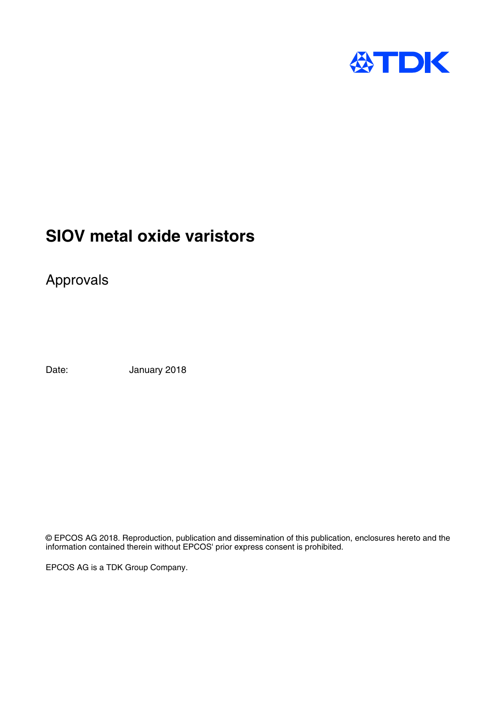

# **SIOV metal oxide varistors**

Approvals

Date: January 2018

© EPCOS AG 2018. Reproduction, publication and dissemination of this publication, enclosures hereto and the information contained therein without EPCOS' prior express consent is prohibited.

EPCOS AG is a TDK Group Company.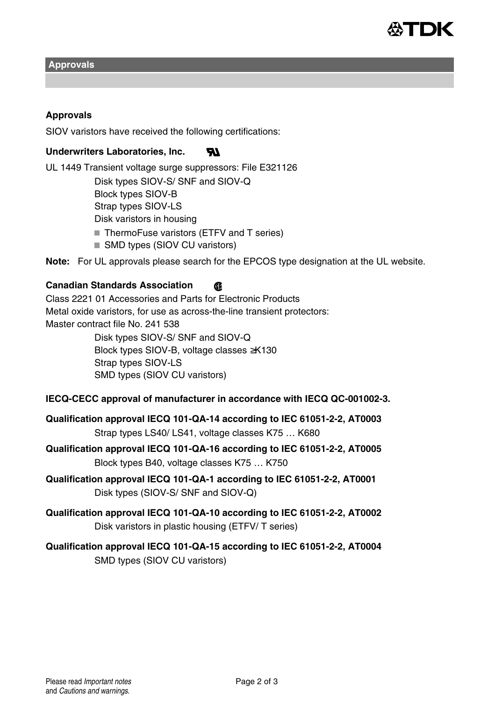

**Approvals**

#### **Approvals**

SIOV varistors have received the following certifications:

#### **Underwriters Laboratories, Inc.**  $\boldsymbol{w}$

UL 1449 Transient voltage surge suppressors: File E321126 Disk types SIOV-S/ SNF and SIOV-Q Block types SIOV-B Strap types SIOV-LS Disk varistors in housing ■ ThermoFuse varistors (ETFV and T series) ■ SMD types (SIOV CU varistors)

**Note:** For UL approvals please search for the EPCOS type designation at the UL website.

### **Canadian Standards Association**

Class 2221 01 Accessories and Parts for Electronic Products Metal oxide varistors, for use as across-the-line transient protectors: Master contract file No. 241 538 Disk types SIOV-S/ SNF and SIOV-Q Block types SIOV-B, voltage classes ≥K130 Strap types SIOV-LS SMD types (SIOV CU varistors)

#### **IECQ-CECC approval of manufacturer in accordance with IECQ QC-001002-3.**

**Qualification approval IECQ 101-QA-14 according to IEC 61051-2-2, AT0003** Strap types LS40/ LS41, voltage classes K75 … K680

**Qualification approval IECQ 101-QA-16 according to IEC 61051-2-2, AT0005** Block types B40, voltage classes K75 … K750

- **Qualification approval IECQ 101-QA-1 according to IEC 61051-2-2, AT0001** Disk types (SIOV-S/ SNF and SIOV-Q)
- **Qualification approval IECQ 101-QA-10 according to IEC 61051-2-2, AT0002** Disk varistors in plastic housing (ETFV/ T series)

# **Qualification approval IECQ 101-QA-15 according to IEC 61051-2-2, AT0004** SMD types (SIOV CU varistors)